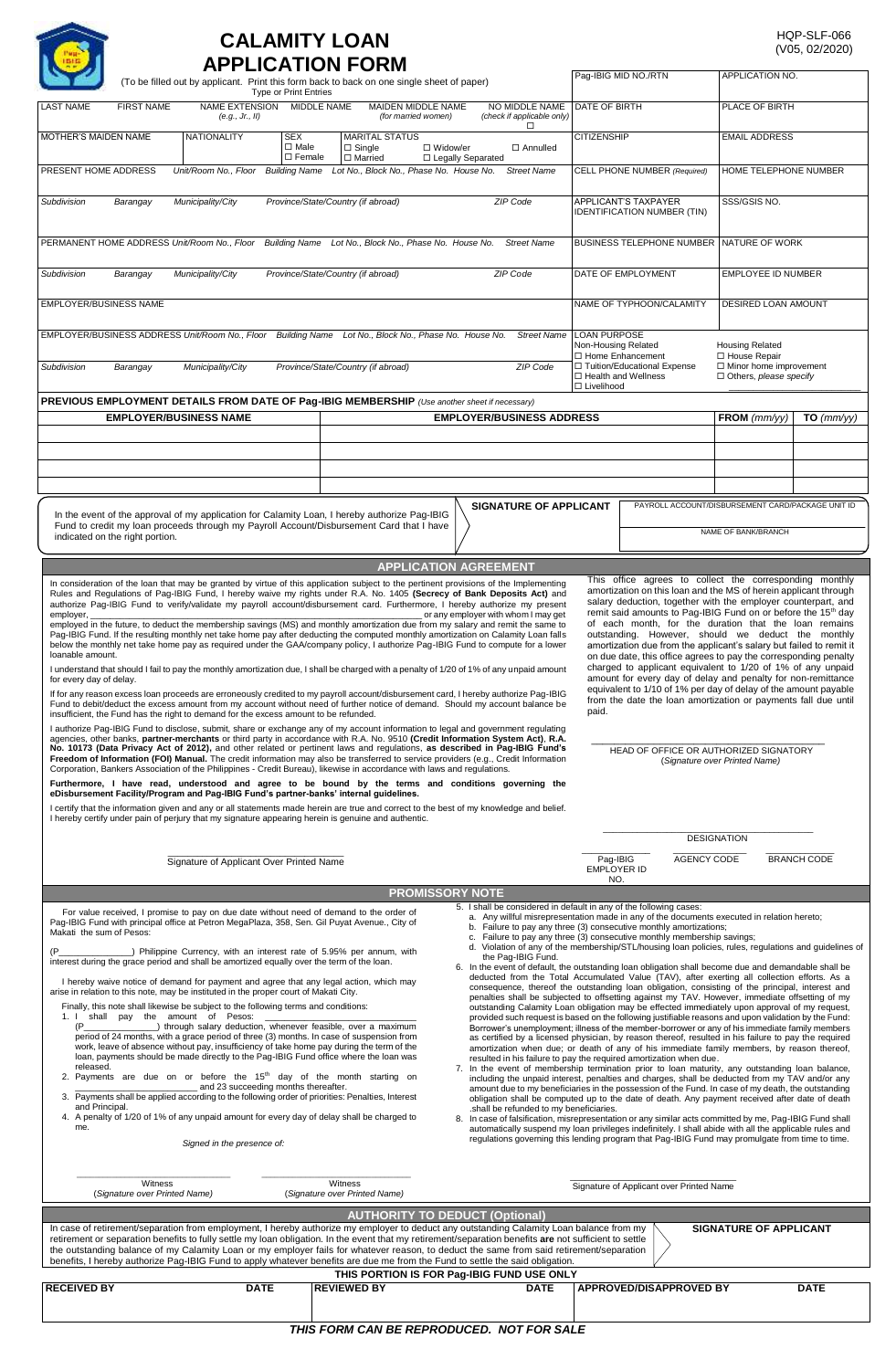## **CALAMITY LOAN**

|                                                                                                                                       |                                                                                                                                                                                                                                                                                                                                                                                                                                                                                   |                                                                                                                                                                                                                                                                                                                                                                                         |                                               | <b>APPLICATION FORM</b>                                                                                                                                                                                                                                                                                                                                                                                                                                                                                                                                                                                                                                                                                                                                                                                                                                                                                                                                                                                                                                                                                                                                                                                                                                                                                                                                                                         |                                                                                                                                                                                                                                                                                                                                                                                                                                                                                                                                                                                                                                                                                                                                                                                                                                                                                                                                                                                                                                                                                                                                                                                                                                                                                                                                                                                                                                                                                                                                                                                                                                                                                                                                                                                                                                                                                                                                                                                                                                                                                                                                                                                                                                                                                  |                                                                                                   | Pag-IBIG MID NO./RTN                                                                                                                                                                                                                        | APPLICATION NO.                                                           |                     |  |
|---------------------------------------------------------------------------------------------------------------------------------------|-----------------------------------------------------------------------------------------------------------------------------------------------------------------------------------------------------------------------------------------------------------------------------------------------------------------------------------------------------------------------------------------------------------------------------------------------------------------------------------|-----------------------------------------------------------------------------------------------------------------------------------------------------------------------------------------------------------------------------------------------------------------------------------------------------------------------------------------------------------------------------------------|-----------------------------------------------|-------------------------------------------------------------------------------------------------------------------------------------------------------------------------------------------------------------------------------------------------------------------------------------------------------------------------------------------------------------------------------------------------------------------------------------------------------------------------------------------------------------------------------------------------------------------------------------------------------------------------------------------------------------------------------------------------------------------------------------------------------------------------------------------------------------------------------------------------------------------------------------------------------------------------------------------------------------------------------------------------------------------------------------------------------------------------------------------------------------------------------------------------------------------------------------------------------------------------------------------------------------------------------------------------------------------------------------------------------------------------------------------------|----------------------------------------------------------------------------------------------------------------------------------------------------------------------------------------------------------------------------------------------------------------------------------------------------------------------------------------------------------------------------------------------------------------------------------------------------------------------------------------------------------------------------------------------------------------------------------------------------------------------------------------------------------------------------------------------------------------------------------------------------------------------------------------------------------------------------------------------------------------------------------------------------------------------------------------------------------------------------------------------------------------------------------------------------------------------------------------------------------------------------------------------------------------------------------------------------------------------------------------------------------------------------------------------------------------------------------------------------------------------------------------------------------------------------------------------------------------------------------------------------------------------------------------------------------------------------------------------------------------------------------------------------------------------------------------------------------------------------------------------------------------------------------------------------------------------------------------------------------------------------------------------------------------------------------------------------------------------------------------------------------------------------------------------------------------------------------------------------------------------------------------------------------------------------------------------------------------------------------------------------------------------------------|---------------------------------------------------------------------------------------------------|---------------------------------------------------------------------------------------------------------------------------------------------------------------------------------------------------------------------------------------------|---------------------------------------------------------------------------|---------------------|--|
|                                                                                                                                       |                                                                                                                                                                                                                                                                                                                                                                                                                                                                                   |                                                                                                                                                                                                                                                                                                                                                                                         | <b>Type or Print Entries</b>                  | (To be filled out by applicant. Print this form back to back on one single sheet of paper)                                                                                                                                                                                                                                                                                                                                                                                                                                                                                                                                                                                                                                                                                                                                                                                                                                                                                                                                                                                                                                                                                                                                                                                                                                                                                                      |                                                                                                                                                                                                                                                                                                                                                                                                                                                                                                                                                                                                                                                                                                                                                                                                                                                                                                                                                                                                                                                                                                                                                                                                                                                                                                                                                                                                                                                                                                                                                                                                                                                                                                                                                                                                                                                                                                                                                                                                                                                                                                                                                                                                                                                                                  |                                                                                                   |                                                                                                                                                                                                                                             |                                                                           |                     |  |
| <b>LAST NAME</b>                                                                                                                      | <b>FIRST NAME</b>                                                                                                                                                                                                                                                                                                                                                                                                                                                                 | NAME EXTENSION MIDDLE NAME<br>(e.g., Jr., II)                                                                                                                                                                                                                                                                                                                                           |                                               | MAIDEN MIDDLE NAME<br>(for married women)                                                                                                                                                                                                                                                                                                                                                                                                                                                                                                                                                                                                                                                                                                                                                                                                                                                                                                                                                                                                                                                                                                                                                                                                                                                                                                                                                       | NO MIDDLE NAME<br>(check if applicable only)<br>$\Box$                                                                                                                                                                                                                                                                                                                                                                                                                                                                                                                                                                                                                                                                                                                                                                                                                                                                                                                                                                                                                                                                                                                                                                                                                                                                                                                                                                                                                                                                                                                                                                                                                                                                                                                                                                                                                                                                                                                                                                                                                                                                                                                                                                                                                           | DATE OF BIRTH                                                                                     |                                                                                                                                                                                                                                             | PLACE OF BIRTH                                                            |                     |  |
| MOTHER'S MAIDEN NAME                                                                                                                  |                                                                                                                                                                                                                                                                                                                                                                                                                                                                                   | NATIONALITY                                                                                                                                                                                                                                                                                                                                                                             | <b>SEX</b><br>$\Box$ Male<br>$\square$ Female | <b>MARITAL STATUS</b><br>$\Box$ Single<br>$\Box$ Married                                                                                                                                                                                                                                                                                                                                                                                                                                                                                                                                                                                                                                                                                                                                                                                                                                                                                                                                                                                                                                                                                                                                                                                                                                                                                                                                        | □ Widow/er<br>□ Annulled<br>□ Legally Separated                                                                                                                                                                                                                                                                                                                                                                                                                                                                                                                                                                                                                                                                                                                                                                                                                                                                                                                                                                                                                                                                                                                                                                                                                                                                                                                                                                                                                                                                                                                                                                                                                                                                                                                                                                                                                                                                                                                                                                                                                                                                                                                                                                                                                                  | <b>CITIZENSHIP</b>                                                                                |                                                                                                                                                                                                                                             | <b>EMAIL ADDRESS</b>                                                      |                     |  |
| Lot No., Block No., Phase No. House No.<br>PRESENT HOME ADDRESS<br>Unit/Room No., Floor<br><b>Building Name</b><br><b>Street Name</b> |                                                                                                                                                                                                                                                                                                                                                                                                                                                                                   |                                                                                                                                                                                                                                                                                                                                                                                         |                                               |                                                                                                                                                                                                                                                                                                                                                                                                                                                                                                                                                                                                                                                                                                                                                                                                                                                                                                                                                                                                                                                                                                                                                                                                                                                                                                                                                                                                 |                                                                                                                                                                                                                                                                                                                                                                                                                                                                                                                                                                                                                                                                                                                                                                                                                                                                                                                                                                                                                                                                                                                                                                                                                                                                                                                                                                                                                                                                                                                                                                                                                                                                                                                                                                                                                                                                                                                                                                                                                                                                                                                                                                                                                                                                                  | CELL PHONE NUMBER (Required)                                                                      |                                                                                                                                                                                                                                             | HOME TELEPHONE NUMBER                                                     |                     |  |
| ZIP Code<br>Municipality/City<br>Province/State/Country (if abroad)<br>Subdivision<br>Barangay                                        |                                                                                                                                                                                                                                                                                                                                                                                                                                                                                   |                                                                                                                                                                                                                                                                                                                                                                                         |                                               |                                                                                                                                                                                                                                                                                                                                                                                                                                                                                                                                                                                                                                                                                                                                                                                                                                                                                                                                                                                                                                                                                                                                                                                                                                                                                                                                                                                                 |                                                                                                                                                                                                                                                                                                                                                                                                                                                                                                                                                                                                                                                                                                                                                                                                                                                                                                                                                                                                                                                                                                                                                                                                                                                                                                                                                                                                                                                                                                                                                                                                                                                                                                                                                                                                                                                                                                                                                                                                                                                                                                                                                                                                                                                                                  | APPLICANT'S TAXPAYER<br><b>IDENTIFICATION NUMBER (TIN)</b>                                        |                                                                                                                                                                                                                                             | SSS/GSIS NO.                                                              |                     |  |
| PERMANENT HOME ADDRESS Unit/Room No., Floor<br><b>Building Name</b><br>Lot No., Block No., Phase No. House No.<br><b>Street Name</b>  |                                                                                                                                                                                                                                                                                                                                                                                                                                                                                   |                                                                                                                                                                                                                                                                                                                                                                                         |                                               |                                                                                                                                                                                                                                                                                                                                                                                                                                                                                                                                                                                                                                                                                                                                                                                                                                                                                                                                                                                                                                                                                                                                                                                                                                                                                                                                                                                                 |                                                                                                                                                                                                                                                                                                                                                                                                                                                                                                                                                                                                                                                                                                                                                                                                                                                                                                                                                                                                                                                                                                                                                                                                                                                                                                                                                                                                                                                                                                                                                                                                                                                                                                                                                                                                                                                                                                                                                                                                                                                                                                                                                                                                                                                                                  |                                                                                                   | BUSINESS TELEPHONE NUMBER NATURE OF WORK                                                                                                                                                                                                    |                                                                           |                     |  |
| Subdivision<br>Municipality/City<br>Province/State/Country (if abroad)<br>ZIP Code<br>Barangay                                        |                                                                                                                                                                                                                                                                                                                                                                                                                                                                                   |                                                                                                                                                                                                                                                                                                                                                                                         |                                               |                                                                                                                                                                                                                                                                                                                                                                                                                                                                                                                                                                                                                                                                                                                                                                                                                                                                                                                                                                                                                                                                                                                                                                                                                                                                                                                                                                                                 |                                                                                                                                                                                                                                                                                                                                                                                                                                                                                                                                                                                                                                                                                                                                                                                                                                                                                                                                                                                                                                                                                                                                                                                                                                                                                                                                                                                                                                                                                                                                                                                                                                                                                                                                                                                                                                                                                                                                                                                                                                                                                                                                                                                                                                                                                  | DATE OF EMPLOYMENT                                                                                |                                                                                                                                                                                                                                             |                                                                           | EMPLOYEE ID NUMBER  |  |
| <b>EMPLOYER/BUSINESS NAME</b>                                                                                                         |                                                                                                                                                                                                                                                                                                                                                                                                                                                                                   |                                                                                                                                                                                                                                                                                                                                                                                         |                                               |                                                                                                                                                                                                                                                                                                                                                                                                                                                                                                                                                                                                                                                                                                                                                                                                                                                                                                                                                                                                                                                                                                                                                                                                                                                                                                                                                                                                 |                                                                                                                                                                                                                                                                                                                                                                                                                                                                                                                                                                                                                                                                                                                                                                                                                                                                                                                                                                                                                                                                                                                                                                                                                                                                                                                                                                                                                                                                                                                                                                                                                                                                                                                                                                                                                                                                                                                                                                                                                                                                                                                                                                                                                                                                                  |                                                                                                   | NAME OF TYPHOON/CALAMITY                                                                                                                                                                                                                    |                                                                           | DESIRED LOAN AMOUNT |  |
| EMPLOYER/BUSINESS ADDRESS Unit/Room No., Floor Building Name Lot No., Block No., Phase No. House No.<br><b>Street Name</b>            |                                                                                                                                                                                                                                                                                                                                                                                                                                                                                   |                                                                                                                                                                                                                                                                                                                                                                                         |                                               |                                                                                                                                                                                                                                                                                                                                                                                                                                                                                                                                                                                                                                                                                                                                                                                                                                                                                                                                                                                                                                                                                                                                                                                                                                                                                                                                                                                                 |                                                                                                                                                                                                                                                                                                                                                                                                                                                                                                                                                                                                                                                                                                                                                                                                                                                                                                                                                                                                                                                                                                                                                                                                                                                                                                                                                                                                                                                                                                                                                                                                                                                                                                                                                                                                                                                                                                                                                                                                                                                                                                                                                                                                                                                                                  | <b>LOAN PURPOSE</b><br>Non-Housing Related<br>□ Home Enhancement<br>□ Tuition/Educational Expense |                                                                                                                                                                                                                                             | <b>Housing Related</b><br>□ House Repair<br>$\Box$ Minor home improvement |                     |  |
| Subdivision                                                                                                                           | Barangay                                                                                                                                                                                                                                                                                                                                                                                                                                                                          | Municipality/City                                                                                                                                                                                                                                                                                                                                                                       |                                               | Province/State/Country (if abroad)                                                                                                                                                                                                                                                                                                                                                                                                                                                                                                                                                                                                                                                                                                                                                                                                                                                                                                                                                                                                                                                                                                                                                                                                                                                                                                                                                              | ZIP Code                                                                                                                                                                                                                                                                                                                                                                                                                                                                                                                                                                                                                                                                                                                                                                                                                                                                                                                                                                                                                                                                                                                                                                                                                                                                                                                                                                                                                                                                                                                                                                                                                                                                                                                                                                                                                                                                                                                                                                                                                                                                                                                                                                                                                                                                         | $\Box$ Livelihood                                                                                 | □ Health and Wellness                                                                                                                                                                                                                       | $\Box$ Others, please specify                                             |                     |  |
|                                                                                                                                       | <b>EMPLOYER/BUSINESS NAME</b>                                                                                                                                                                                                                                                                                                                                                                                                                                                     |                                                                                                                                                                                                                                                                                                                                                                                         |                                               | <b>PREVIOUS EMPLOYMENT DETAILS FROM DATE OF Pag-IBIG MEMBERSHIP</b> (Use another sheet if necessary)                                                                                                                                                                                                                                                                                                                                                                                                                                                                                                                                                                                                                                                                                                                                                                                                                                                                                                                                                                                                                                                                                                                                                                                                                                                                                            | <b>EMPLOYER/BUSINESS ADDRESS</b>                                                                                                                                                                                                                                                                                                                                                                                                                                                                                                                                                                                                                                                                                                                                                                                                                                                                                                                                                                                                                                                                                                                                                                                                                                                                                                                                                                                                                                                                                                                                                                                                                                                                                                                                                                                                                                                                                                                                                                                                                                                                                                                                                                                                                                                 |                                                                                                   |                                                                                                                                                                                                                                             | FROM $(mm/yy)$                                                            | $TO \ (mm/VV)$      |  |
|                                                                                                                                       |                                                                                                                                                                                                                                                                                                                                                                                                                                                                                   |                                                                                                                                                                                                                                                                                                                                                                                         |                                               |                                                                                                                                                                                                                                                                                                                                                                                                                                                                                                                                                                                                                                                                                                                                                                                                                                                                                                                                                                                                                                                                                                                                                                                                                                                                                                                                                                                                 |                                                                                                                                                                                                                                                                                                                                                                                                                                                                                                                                                                                                                                                                                                                                                                                                                                                                                                                                                                                                                                                                                                                                                                                                                                                                                                                                                                                                                                                                                                                                                                                                                                                                                                                                                                                                                                                                                                                                                                                                                                                                                                                                                                                                                                                                                  |                                                                                                   |                                                                                                                                                                                                                                             |                                                                           |                     |  |
|                                                                                                                                       |                                                                                                                                                                                                                                                                                                                                                                                                                                                                                   |                                                                                                                                                                                                                                                                                                                                                                                         |                                               |                                                                                                                                                                                                                                                                                                                                                                                                                                                                                                                                                                                                                                                                                                                                                                                                                                                                                                                                                                                                                                                                                                                                                                                                                                                                                                                                                                                                 |                                                                                                                                                                                                                                                                                                                                                                                                                                                                                                                                                                                                                                                                                                                                                                                                                                                                                                                                                                                                                                                                                                                                                                                                                                                                                                                                                                                                                                                                                                                                                                                                                                                                                                                                                                                                                                                                                                                                                                                                                                                                                                                                                                                                                                                                                  |                                                                                                   |                                                                                                                                                                                                                                             |                                                                           |                     |  |
|                                                                                                                                       |                                                                                                                                                                                                                                                                                                                                                                                                                                                                                   |                                                                                                                                                                                                                                                                                                                                                                                         |                                               | In the event of the approval of my application for Calamity Loan, I hereby authorize Pag-IBIG                                                                                                                                                                                                                                                                                                                                                                                                                                                                                                                                                                                                                                                                                                                                                                                                                                                                                                                                                                                                                                                                                                                                                                                                                                                                                                   | <b>SIGNATURE OF APPLICANT</b>                                                                                                                                                                                                                                                                                                                                                                                                                                                                                                                                                                                                                                                                                                                                                                                                                                                                                                                                                                                                                                                                                                                                                                                                                                                                                                                                                                                                                                                                                                                                                                                                                                                                                                                                                                                                                                                                                                                                                                                                                                                                                                                                                                                                                                                    |                                                                                                   | PAYROLL ACCOUNT/DISBURSEMENT CARD/PACKAGE UNIT ID                                                                                                                                                                                           |                                                                           |                     |  |
|                                                                                                                                       | indicated on the right portion.                                                                                                                                                                                                                                                                                                                                                                                                                                                   |                                                                                                                                                                                                                                                                                                                                                                                         |                                               | Fund to credit my loan proceeds through my Payroll Account/Disbursement Card that I have                                                                                                                                                                                                                                                                                                                                                                                                                                                                                                                                                                                                                                                                                                                                                                                                                                                                                                                                                                                                                                                                                                                                                                                                                                                                                                        |                                                                                                                                                                                                                                                                                                                                                                                                                                                                                                                                                                                                                                                                                                                                                                                                                                                                                                                                                                                                                                                                                                                                                                                                                                                                                                                                                                                                                                                                                                                                                                                                                                                                                                                                                                                                                                                                                                                                                                                                                                                                                                                                                                                                                                                                                  |                                                                                                   |                                                                                                                                                                                                                                             | NAME OF BANK/BRANCH                                                       |                     |  |
|                                                                                                                                       |                                                                                                                                                                                                                                                                                                                                                                                                                                                                                   |                                                                                                                                                                                                                                                                                                                                                                                         |                                               |                                                                                                                                                                                                                                                                                                                                                                                                                                                                                                                                                                                                                                                                                                                                                                                                                                                                                                                                                                                                                                                                                                                                                                                                                                                                                                                                                                                                 | <b>APPLICATION AGREEMENT</b>                                                                                                                                                                                                                                                                                                                                                                                                                                                                                                                                                                                                                                                                                                                                                                                                                                                                                                                                                                                                                                                                                                                                                                                                                                                                                                                                                                                                                                                                                                                                                                                                                                                                                                                                                                                                                                                                                                                                                                                                                                                                                                                                                                                                                                                     |                                                                                                   | This office agrees to collect the corresponding monthly                                                                                                                                                                                     |                                                                           |                     |  |
| for every day of delay.                                                                                                               |                                                                                                                                                                                                                                                                                                                                                                                                                                                                                   | insufficient, the Fund has the right to demand for the excess amount to be refunded                                                                                                                                                                                                                                                                                                     |                                               | If for any reason excess loan proceeds are erroneously credited to my payroll account/disbursement card, I hereby authorize Pag-IBIG<br>Fund to debit/deduct the excess amount from my account without need of further notice of demand. Should my account balance be<br>I authorize Pag-IBIG Fund to disclose, submit, share or exchange any of my account information to legal and government regulating<br>agencies, other banks, partner-merchants or third party in accordance with R.A. No. 9510 (Credit Information System Act), R.A.<br>No. 10173 (Data Privacy Act of 2012), and other related or pertinent laws and requlations, as described in Pag-IBIG Fund's<br>Freedom of Information (FOI) Manual. The credit information may also be transferred to service providers (e.g., Credit Information<br>Corporation, Bankers Association of the Philippines - Credit Bureau), likewise in accordance with laws and regulations.<br>Furthermore, I have read, understood and agree to be bound by the terms and conditions governing the<br>eDisbursement Facility/Program and Pag-IBIG Fund's partner-banks' internal guidelines.<br>I certify that the information given and any or all statements made herein are true and correct to the best of my knowledge and belief.<br>I hereby certify under pain of perjury that my signature appearing herein is genuine and authentic. |                                                                                                                                                                                                                                                                                                                                                                                                                                                                                                                                                                                                                                                                                                                                                                                                                                                                                                                                                                                                                                                                                                                                                                                                                                                                                                                                                                                                                                                                                                                                                                                                                                                                                                                                                                                                                                                                                                                                                                                                                                                                                                                                                                                                                                                                                  | paid.                                                                                             | amount for every day of delay and penalty for non-remittance<br>equivalent to 1/10 of 1% per day of delay of the amount payable<br>from the date the loan amortization or payments fall due until<br>HEAD OF OFFICE OR AUTHORIZED SIGNATORY | (Signature over Printed Name)                                             |                     |  |
|                                                                                                                                       |                                                                                                                                                                                                                                                                                                                                                                                                                                                                                   |                                                                                                                                                                                                                                                                                                                                                                                         |                                               |                                                                                                                                                                                                                                                                                                                                                                                                                                                                                                                                                                                                                                                                                                                                                                                                                                                                                                                                                                                                                                                                                                                                                                                                                                                                                                                                                                                                 |                                                                                                                                                                                                                                                                                                                                                                                                                                                                                                                                                                                                                                                                                                                                                                                                                                                                                                                                                                                                                                                                                                                                                                                                                                                                                                                                                                                                                                                                                                                                                                                                                                                                                                                                                                                                                                                                                                                                                                                                                                                                                                                                                                                                                                                                                  | Pag-IBIG                                                                                          | AGENCY CODE                                                                                                                                                                                                                                 | <b>DESIGNATION</b>                                                        | <b>BRANCH CODE</b>  |  |
|                                                                                                                                       |                                                                                                                                                                                                                                                                                                                                                                                                                                                                                   | Signature of Applicant Over Printed Name                                                                                                                                                                                                                                                                                                                                                |                                               |                                                                                                                                                                                                                                                                                                                                                                                                                                                                                                                                                                                                                                                                                                                                                                                                                                                                                                                                                                                                                                                                                                                                                                                                                                                                                                                                                                                                 | <b>PROMISSORY NOTE</b>                                                                                                                                                                                                                                                                                                                                                                                                                                                                                                                                                                                                                                                                                                                                                                                                                                                                                                                                                                                                                                                                                                                                                                                                                                                                                                                                                                                                                                                                                                                                                                                                                                                                                                                                                                                                                                                                                                                                                                                                                                                                                                                                                                                                                                                           | EMPLOYER ID<br>NO.                                                                                |                                                                                                                                                                                                                                             |                                                                           |                     |  |
| Makati the sum of Pesos:<br>(P<br>released.<br>and Principal.<br>me.                                                                  | Witness<br>(Signature over Printed Name)                                                                                                                                                                                                                                                                                                                                                                                                                                          | interest during the grace period and shall be amortized equally over the term of the loan.<br>arise in relation to this note, may be instituted in the proper court of Makati City.<br>Finally, this note shall likewise be subject to the following terms and conditions:<br>1. I shall pay the amount of Pesos:<br>and 23 succeeding months thereafter.<br>Signed in the presence of: |                                               | For value received, I promise to pay on due date without need of demand to the order of<br>Pag-IBIG Fund with principal office at Petron MegaPlaza, 358, Sen. Gil Puyat Avenue., City of<br>_) Philippine Currency, with an interest rate of 5.95% per annum, with<br>I hereby waive notice of demand for payment and agree that any legal action, which may<br>_) through salary deduction, whenever feasible, over a maximum<br>period of 24 months, with a grace period of three (3) months. In case of suspension from<br>work, leave of absence without pay, insufficiency of take home pay during the term of the<br>loan, payments should be made directly to the Pag-IBIG Fund office where the loan was<br>2. Payments are due on or before the $15th$ day of the month starting on<br>3. Payments shall be applied according to the following order of priorities: Penalties, Interest<br>4. A penalty of 1/20 of 1% of any unpaid amount for every day of delay shall be charged to<br>Witness<br>(Signature over Printed Name)<br>In case of retirement/separation from employment, I hereby authorize my employer to deduct any outstanding Calamity Loan balance from my                                                                                                                                                                                                          | 5. I shall be considered in default in any of the following cases:<br>a. Any willful misrepresentation made in any of the documents executed in relation hereto;<br>b. Failure to pay any three (3) consecutive monthly amortizations;<br>c. Failure to pay any three (3) consecutive monthly membership savings;<br>d. Violation of any of the membership/STL/housing loan policies, rules, regulations and guidelines of<br>the Pag-IBIG Fund.<br>6. In the event of default, the outstanding loan obligation shall become due and demandable shall be<br>deducted from the Total Accumulated Value (TAV), after exerting all collection efforts. As a<br>consequence, thereof the outstanding loan obligation, consisting of the principal, interest and<br>penalties shall be subjected to offsetting against my TAV. However, immediate offsetting of my<br>outstanding Calamity Loan obligation may be effected immediately upon approval of my request,<br>provided such request is based on the following justifiable reasons and upon validation by the Fund:<br>Borrower's unemployment; illness of the member-borrower or any of his immediate family members<br>as certified by a licensed physician, by reason thereof, resulted in his failure to pay the required<br>amortization when due; or death of any of his immediate family members, by reason thereof,<br>resulted in his failure to pay the required amortization when due.<br>7. In the event of membership termination prior to loan maturity, any outstanding loan balance,<br>including the unpaid interest, penalties and charges, shall be deducted from my TAV and/or any<br>amount due to my beneficiaries in the possession of the Fund. In case of my death, the outstanding<br>obligation shall be computed up to the date of death. Any payment received after date of death<br>.shall be refunded to my beneficiaries.<br>In case of falsification, misrepresentation or any similar acts committed by me, Pag-IBIG Fund shall<br>8.<br>automatically suspend my loan privileges indefinitely. I shall abide with all the applicable rules and<br>regulations governing this lending program that Pag-IBIG Fund may promulgate from time to time.<br><b>AUTHORITY TO DEDUCT (Optional)</b> |                                                                                                   | Signature of Applicant over Printed Name                                                                                                                                                                                                    | <b>SIGNATURE OF APPLICANT</b>                                             |                     |  |
|                                                                                                                                       | retirement or separation benefits to fully settle my loan obligation. In the event that my retirement/separation benefits are not sufficient to settle<br>the outstanding balance of my Calamity Loan or my employer fails for whatever reason, to deduct the same from said retirement/separation<br>benefits, I hereby authorize Pag-IBIG Fund to apply whatever benefits are due me from the Fund to settle the said obligation.<br>THIS PORTION IS FOR Pag-IBIG FUND USE ONLY |                                                                                                                                                                                                                                                                                                                                                                                         |                                               |                                                                                                                                                                                                                                                                                                                                                                                                                                                                                                                                                                                                                                                                                                                                                                                                                                                                                                                                                                                                                                                                                                                                                                                                                                                                                                                                                                                                 |                                                                                                                                                                                                                                                                                                                                                                                                                                                                                                                                                                                                                                                                                                                                                                                                                                                                                                                                                                                                                                                                                                                                                                                                                                                                                                                                                                                                                                                                                                                                                                                                                                                                                                                                                                                                                                                                                                                                                                                                                                                                                                                                                                                                                                                                                  |                                                                                                   |                                                                                                                                                                                                                                             |                                                                           |                     |  |
| <b>RECEIVED BY</b>                                                                                                                    |                                                                                                                                                                                                                                                                                                                                                                                                                                                                                   | <b>DATE</b>                                                                                                                                                                                                                                                                                                                                                                             |                                               | <b>REVIEWED BY</b>                                                                                                                                                                                                                                                                                                                                                                                                                                                                                                                                                                                                                                                                                                                                                                                                                                                                                                                                                                                                                                                                                                                                                                                                                                                                                                                                                                              | <b>DATE</b>                                                                                                                                                                                                                                                                                                                                                                                                                                                                                                                                                                                                                                                                                                                                                                                                                                                                                                                                                                                                                                                                                                                                                                                                                                                                                                                                                                                                                                                                                                                                                                                                                                                                                                                                                                                                                                                                                                                                                                                                                                                                                                                                                                                                                                                                      |                                                                                                   | <b>APPROVED/DISAPPROVED BY</b>                                                                                                                                                                                                              |                                                                           | <b>DATE</b>         |  |